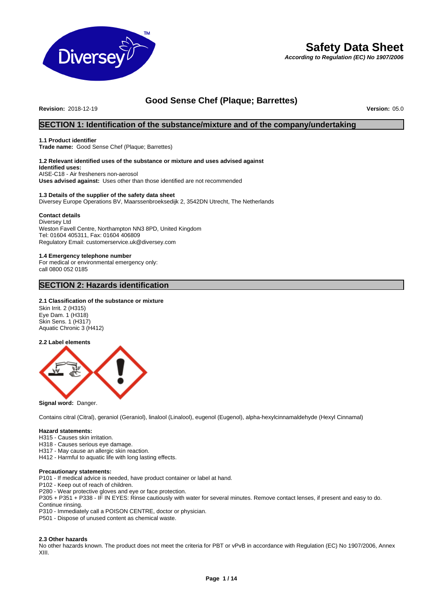

# **Safety Data Sheet**

*According to Regulation (EC) No 1907/2006*

# **Good Sense Chef (Plaque; Barrettes)**

**Revision:** 2018-12-19 **Version:** 05.0

**SECTION 1: Identification of the substance/mixture and of the company/undertaking**

# **1.1 Product identifier**

**Trade name:** Good Sense Chef (Plaque; Barrettes)

#### **1.2 Relevant identified uses of the substance or mixture and uses advised against Identified uses:** AISE-C18 - Air fresheners non-aerosol

**Uses advised against:** Uses other than those identified are not recommended

# **1.3 Details of the supplier of the safety data sheet**

Diversey Europe Operations BV, Maarssenbroeksedijk 2, 3542DN Utrecht, The Netherlands

#### **Contact details**

Diversey Ltd Weston Favell Centre, Northampton NN3 8PD, United Kingdom Tel: 01604 405311, Fax: 01604 406809 Regulatory Email: customerservice.uk@diversey.com

# **1.4 Emergency telephone number**

For medical or environmental emergency only: call 0800 052 0185

## **SECTION 2: Hazards identification**

#### **2.1 Classification of the substance or mixture**

Skin Irrit. 2 (H315) Eye Dam. 1 (H318) Skin Sens. 1 (H317) Aquatic Chronic 3 (H412)

**2.2 Label elements**



**Signal word:** Danger.

Contains citral (Citral), geraniol (Geraniol), linalool (Linalool), eugenol (Eugenol), alpha-hexylcinnamaldehyde (Hexyl Cinnamal)

### **Hazard statements:**

H315 - Causes skin irritation.

H318 - Causes serious eye damage.

H317 - May cause an allergic skin reaction.

H412 - Harmful to aquatic life with long lasting effects.

#### **Precautionary statements:**

P101 - If medical advice is needed, have product container or label at hand.

P102 - Keep out of reach of children.

P280 - Wear protective gloves and eye or face protection.

P305 + P351 + P338 - IF IN EYES: Rinse cautiously with water for several minutes. Remove contact lenses, if present and easy to do. Continue rinsing.

P310 - Immediately call a POISON CENTRE, doctor or physician.

P501 - Dispose of unused content as chemical waste.

#### **2.3 Other hazards**

No other hazards known. The product does not meet the criteria for PBT or vPvB in accordance with Regulation (EC) No 1907/2006, Annex XIII.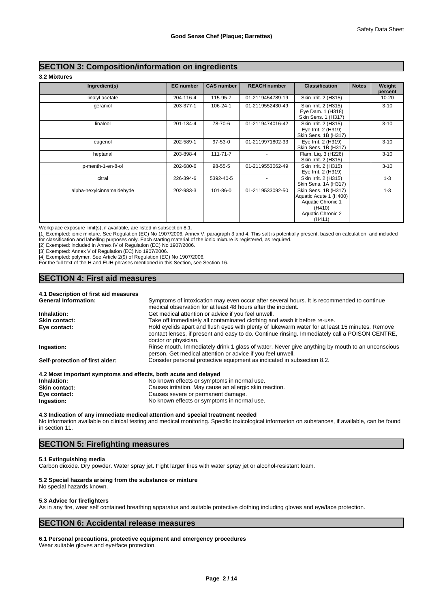# **SECTION 3: Composition/information on ingredients**

**3.2 Mixtures**

| Ingredient(s)             | <b>EC</b> number | <b>CAS number</b> | <b>REACH number</b> | <b>Classification</b>                                                                                        | <b>Notes</b> | Weight<br>percent |
|---------------------------|------------------|-------------------|---------------------|--------------------------------------------------------------------------------------------------------------|--------------|-------------------|
| linalyl acetate           | 204-116-4        | 115-95-7          | 01-2119454789-19    | Skin Irrit. 2 (H315)                                                                                         |              | $10 - 20$         |
| qeraniol                  | 203-377-1        | 106-24-1          | 01-2119552430-49    | Skin Irrit. 2 (H315)<br>Eye Dam. 1 (H318)<br>Skin Sens. 1 (H317)                                             |              | $3 - 10$          |
| linalool                  | 201-134-4        | 78-70-6           | 01-2119474016-42    | Skin Irrit. 2 (H315)<br>Eye Irrit. 2 (H319)<br>Skin Sens. 1B (H317)                                          |              | $3 - 10$          |
| eugenol                   | 202-589-1        | 97-53-0           | 01-2119971802-33    | Eye Irrit. 2 (H319)<br>Skin Sens. 1B (H317)                                                                  |              | $3 - 10$          |
| heptanal                  | 203-898-4        | $111 - 71 - 7$    |                     | Flam. Lig. 3 (H226)<br>Skin Irrit. 2 (H315)                                                                  |              | $3 - 10$          |
| p-menth-1-en-8-ol         | 202-680-6        | 98-55-5           | 01-2119553062-49    | Skin Irrit. 2 (H315)<br>Eye Irrit. 2 (H319)                                                                  |              | $3 - 10$          |
| citral                    | 226-394-6        | 5392-40-5         |                     | Skin Irrit. 2 (H315)<br>Skin Sens. 1A (H317)                                                                 |              | $1 - 3$           |
| alpha-hexylcinnamaldehyde | 202-983-3        | 101-86-0          | 01-2119533092-50    | Skin Sens. 1B (H317)<br>Aquatic Acute 1 (H400)<br>Aquatic Chronic 1<br>(H410)<br>Aquatic Chronic 2<br>(H411) |              | $1 - 3$           |

Workplace exposure limit(s), if available, are listed in subsection 8.1.

[1] Exempted: ionic mixture. See Regulation (EC) No 1907/2006, Annex V, paragraph 3 and 4. This salt is potentially present, based on calculation, and included for classification and labelling purposes only. Each starting material of the ionic mixture is registered, as required.

[2] Exempted: included in Annex IV of Regulation (EC) No 1907/2006.

[3] Exempted: Annex V of Regulation (EC) No 1907/2006.

[4] Exempted: polymer. See Article 2(9) of Regulation (EC) No 1907/2006.

For the full text of the H and EUH phrases mentioned in this Section, see Section 16.

## **4.1 Description of first aid measures**

**SECTION 4: First aid measures** 

| <b>General Information:</b>     | Symptoms of intoxication may even occur after several hours. It is recommended to continue      |
|---------------------------------|-------------------------------------------------------------------------------------------------|
|                                 | medical observation for at least 48 hours after the incident.                                   |
| Inhalation:                     | Get medical attention or advice if you feel unwell.                                             |
| <b>Skin contact:</b>            | Take off immediately all contaminated clothing and wash it before re-use.                       |
| Eye contact:                    | Hold eyelids apart and flush eyes with plenty of lukewarm water for at least 15 minutes. Remove |
|                                 | contact lenses, if present and easy to do. Continue rinsing. Immediately call a POISON CENTRE,  |
|                                 | doctor or physician.                                                                            |
| Ingestion:                      | Rinse mouth. Immediately drink 1 glass of water. Never give anything by mouth to an unconscious |
|                                 | person. Get medical attention or advice if you feel unwell.                                     |
| Self-protection of first aider: | Consider personal protective equipment as indicated in subsection 8.2.                          |

|                      | moot important symptoms and chects, both acate and acidyca |
|----------------------|------------------------------------------------------------|
| Inhalation:          | No known effects or symptoms in normal use.                |
| <b>Skin contact:</b> | Causes irritation. May cause an allergic skin reaction.    |
| Eye contact:         | Causes severe or permanent damage.                         |
| Ingestion:           | No known effects or symptoms in normal use.                |
|                      |                                                            |

#### **4.3 Indication of any immediate medical attention and special treatment needed**

No information available on clinical testing and medical monitoring. Specific toxicological information on substances, if available, can be found in section 11.

# **SECTION 5: Firefighting measures**

#### **5.1 Extinguishing media**

Carbon dioxide. Dry powder. Water spray jet. Fight larger fires with water spray jet or alcohol-resistant foam.

#### **5.2 Special hazards arising from the substance or mixture**

No special hazards known.

#### **5.3 Advice for firefighters**

As in any fire, wear self contained breathing apparatus and suitable protective clothing including gloves and eye/face protection.

# **SECTION 6: Accidental release measures**

#### **6.1 Personal precautions, protective equipment and emergency procedures**

Wear suitable gloves and eye/face protection.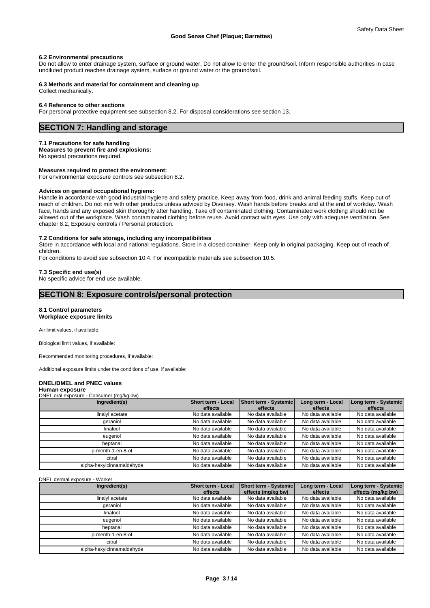#### **6.2 Environmental precautions**

Do not allow to enter drainage system, surface or ground water. Do not allow to enter the ground/soil. Inform responsible authorities in case undiluted product reaches drainage system, surface or ground water or the ground/soil.

#### **6.3 Methods and material for containment and cleaning up**

Collect mechanically.

#### **6.4 Reference to other sections**

For personal protective equipment see subsection 8.2. For disposal considerations see section 13.

# **SECTION 7: Handling and storage**

#### **7.1 Precautions for safe handling**

**Measures to prevent fire and explosions:**

No special precautions required.

# **Measures required to protect the environment:**

For environmental exposure controls see subsection 8.2.

#### **Advices on general occupational hygiene:**

Handle in accordance with good industrial hygiene and safety practice. Keep away from food, drink and animal feeding stuffs. Keep out of reach of children. Do not mix with other products unless adviced by Diversey. Wash hands before breaks and at the end of workday. Wash face, hands and any exposed skin thoroughly after handling. Take off contaminated clothing. Contaminated work clothing should not be allowed out of the workplace. Wash contaminated clothing before reuse. Avoid contact with eyes. Use only with adequate ventilation. See chapter 8.2, Exposure controls / Personal protection.

### **7.2 Conditions for safe storage, including any incompatibilities**

Store in accordance with local and national regulations. Store in a closed container. Keep only in original packaging. Keep out of reach of children.

For conditions to avoid see subsection 10.4. For incompatible materials see subsection 10.5.

### **7.3 Specific end use(s)**

No specific advice for end use available.

# **SECTION 8: Exposure controls/personal protection**

#### **8.1 Control parameters Workplace exposure limits**

Air limit values, if available:

Biological limit values, if available:

Recommended monitoring procedures, if available:

Additional exposure limits under the conditions of use, if available:

# **DNEL/DMEL and PNEC values**

#### **Human exposure** DNEL oral exposure - Consumer (mg/kg bw)

| . <del>.</del>            |                                      |                                  |                              |                                 |
|---------------------------|--------------------------------------|----------------------------------|------------------------------|---------------------------------|
| Ingredient(s)             | <b>Short term - Local</b><br>effects | Short term - Systemic<br>effects | Long term - Local<br>effects | Long term - Systemic<br>effects |
| linalyl acetate           | No data available                    | No data available                | No data available            | No data available               |
| geraniol                  | No data available                    | No data available                | No data available            | No data available               |
| linalool                  | No data available                    | No data available                | No data available            | No data available               |
| eugenol                   | No data available                    | No data available                | No data available            | No data available               |
| heptanal                  | No data available                    | No data available                | No data available            | No data available               |
| p-menth-1-en-8-ol         | No data available                    | No data available                | No data available            | No data available               |
| citral                    | No data available                    | No data available                | No data available            | No data available               |
| alpha-hexylcinnamaldehyde | No data available                    | No data available                | No data available            | No data available               |

#### DNEL dermal exposure - Worker

| Ingredient(s)             | <b>Short term - Local</b> | <b>Short term - Systemic</b> | Long term - Local | Long term - Systemic |
|---------------------------|---------------------------|------------------------------|-------------------|----------------------|
|                           | effects                   | effects (mg/kg bw)           | effects           | effects (mg/kg bw)   |
| linalvl acetate           | No data available         | No data available            | No data available | No data available    |
| deraniol                  | No data available         | No data available            | No data available | No data available    |
| linalool                  | No data available         | No data available            | No data available | No data available    |
| euaenol                   | No data available         | No data available            | No data available | No data available    |
| heptanal                  | No data available         | No data available            | No data available | No data available    |
| p-menth-1-en-8-ol         | No data available         | No data available            | No data available | No data available    |
| citral                    | No data available         | No data available            | No data available | No data available    |
| alpha-hexylcinnamaldehyde | No data available         | No data available            | No data available | No data available    |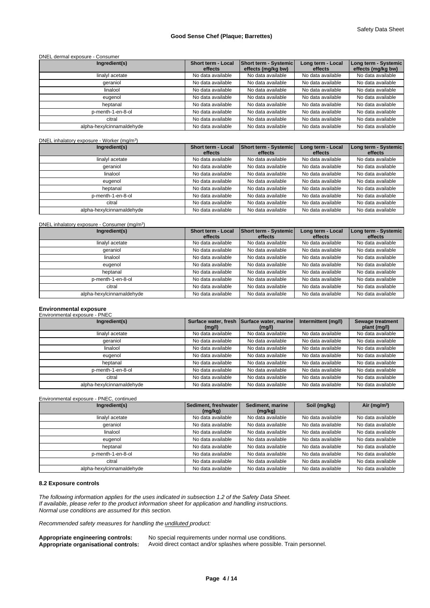## DNEL dermal exposure - Consumer

| Ingredient(s)             | Short term - Local | <b>Short term - Systemic</b> | Long term - Local | Long term - Systemic |
|---------------------------|--------------------|------------------------------|-------------------|----------------------|
|                           | effects            | effects (mg/kg bw)           | effects           | effects (mg/kg bw)   |
| linalyl acetate           | No data available  | No data available            | No data available | No data available    |
| geraniol                  | No data available  | No data available            | No data available | No data available    |
| linalool                  | No data available  | No data available            | No data available | No data available    |
| eugenol                   | No data available  | No data available            | No data available | No data available    |
| heptanal                  | No data available  | No data available            | No data available | No data available    |
| p-menth-1-en-8-ol         | No data available  | No data available            | No data available | No data available    |
| citral                    | No data available  | No data available            | No data available | No data available    |
| alpha-hexylcinnamaldehyde | No data available  | No data available            | No data available | No data available    |

#### DNEL inhalatory exposure - Worker (mg/m<sup>3</sup>

| DNEL inhalatory exposure - Worker (mg/m <sup>3</sup> ) |                                      |                                  |                              |                                 |
|--------------------------------------------------------|--------------------------------------|----------------------------------|------------------------------|---------------------------------|
| Ingredient(s)                                          | <b>Short term - Local</b><br>effects | Short term - Systemic<br>effects | Long term - Local<br>effects | Long term - Systemic<br>effects |
| linalyl acetate                                        | No data available                    | No data available                | No data available            | No data available               |
| qeraniol                                               | No data available                    | No data available                | No data available            | No data available               |
| linalool                                               | No data available                    | No data available                | No data available            | No data available               |
| eugenol                                                | No data available                    | No data available                | No data available            | No data available               |
| heptanal                                               | No data available                    | No data available                | No data available            | No data available               |
| p-menth-1-en-8-ol                                      | No data available                    | No data available                | No data available            | No data available               |
| citral                                                 | No data available                    | No data available                | No data available            | No data available               |
| alpha-hexylcinnamaldehyde                              | No data available                    | No data available                | No data available            | No data available               |
|                                                        |                                      |                                  |                              |                                 |

#### DNEL inhalatory exposure - Consumer (mg/m<sup>3</sup>)  $)$

| Ingredient(s)             | Short term - Local<br>effects | Short term - Systemic<br>effects | Long term - Local<br>effects | Long term - Systemic<br>effects |
|---------------------------|-------------------------------|----------------------------------|------------------------------|---------------------------------|
| linalyl acetate           | No data available             | No data available                | No data available            | No data available               |
| geraniol                  | No data available             | No data available                | No data available            | No data available               |
| linalool                  | No data available             | No data available                | No data available            | No data available               |
| eugenol                   | No data available             | No data available                | No data available            | No data available               |
| heptanal                  | No data available             | No data available                | No data available            | No data available               |
| p-menth-1-en-8-ol         | No data available             | No data available                | No data available            | No data available               |
| citral                    | No data available             | No data available                | No data available            | No data available               |
| alpha-hexylcinnamaldehyde | No data available             | No data available                | No data available            | No data available               |

# **Environmental exposure** Environmental exposure - PNEC

| Ingredient(s)             | Surface water, fresh<br>(mq/l) | Surface water, marine<br>(mq/l) | Intermittent (mg/l) | Sewage treatment<br>plant (mg/l) |
|---------------------------|--------------------------------|---------------------------------|---------------------|----------------------------------|
| linalyl acetate           | No data available              | No data available               | No data available   | No data available                |
| geraniol                  | No data available              | No data available               | No data available   | No data available                |
| linalool                  | No data available              | No data available               | No data available   | No data available                |
| eugenol                   | No data available              | No data available               | No data available   | No data available                |
| heptanal                  | No data available              | No data available               | No data available   | No data available                |
| p-menth-1-en-8-ol         | No data available              | No data available               | No data available   | No data available                |
| citral                    | No data available              | No data available               | No data available   | No data available                |
| alpha-hexylcinnamaldehyde | No data available              | No data available               | No data available   | No data available                |

Environmental exposure - PNEC, continued

| Ingredient(s)             | Sediment, freshwater<br>(mg/kg) | Sediment, marine<br>(mg/kg) | Soil (mg/kg)      | Air ( $mq/m3$ )   |
|---------------------------|---------------------------------|-----------------------------|-------------------|-------------------|
| linalyl acetate           | No data available               | No data available           | No data available | No data available |
| geraniol                  | No data available               | No data available           | No data available | No data available |
| linalool                  | No data available               | No data available           | No data available | No data available |
| eugenol                   | No data available               | No data available           | No data available | No data available |
| heptanal                  | No data available               | No data available           | No data available | No data available |
| p-menth-1-en-8-ol         | No data available               | No data available           | No data available | No data available |
| citral                    | No data available               | No data available           | No data available | No data available |
| alpha-hexylcinnamaldehyde | No data available               | No data available           | No data available | No data available |

# **8.2 Exposure controls**

*The following information applies for the uses indicated in subsection 1.2 of the Safety Data Sheet. If available, please refer to the product information sheet for application and handling instructions. Normal use conditions are assumed for this section.*

*Recommended safety measures for handling the undiluted product:*

**Appropriate engineering controls:** No special requirements under normal use conditions. **Appropriate organisational controls:** Avoid direct contact and/or splashes where possible. Train personnel.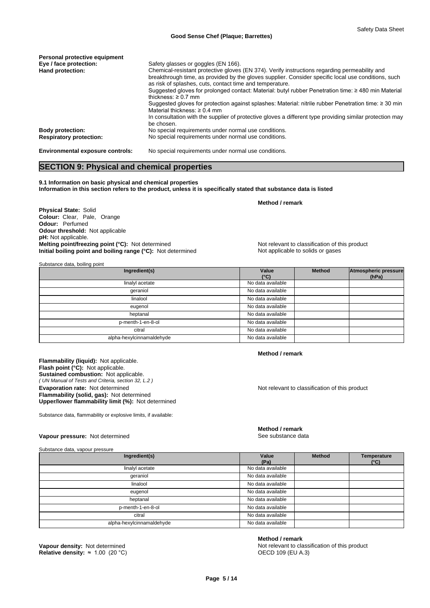| Personal protective equipment           |                                                                                                                                                                                                                                                                                                                                                                                                          |
|-----------------------------------------|----------------------------------------------------------------------------------------------------------------------------------------------------------------------------------------------------------------------------------------------------------------------------------------------------------------------------------------------------------------------------------------------------------|
| Eye / face protection:                  | Safety glasses or goggles (EN 166).                                                                                                                                                                                                                                                                                                                                                                      |
| Hand protection:                        | Chemical-resistant protective gloves (EN 374). Verify instructions regarding permeability and<br>breakthrough time, as provided by the gloves supplier. Consider specific local use conditions, such<br>as risk of splashes, cuts, contact time and temperature.<br>Suggested gloves for prolonged contact: Material: butyl rubber Penetration time: $\geq$ 480 min Material<br>thickness: $\geq 0.7$ mm |
|                                         | Suggested gloves for protection against splashes: Material: nitrile rubber Penetration time: $\geq$ 30 min<br>Material thickness: $\geq 0.4$ mm                                                                                                                                                                                                                                                          |
|                                         | In consultation with the supplier of protective gloves a different type providing similar protection may<br>be chosen.                                                                                                                                                                                                                                                                                   |
| <b>Body protection:</b>                 | No special requirements under normal use conditions.                                                                                                                                                                                                                                                                                                                                                     |
| <b>Respiratory protection:</b>          | No special requirements under normal use conditions.                                                                                                                                                                                                                                                                                                                                                     |
| <b>Environmental exposure controls:</b> | No special requirements under normal use conditions.                                                                                                                                                                                                                                                                                                                                                     |

# **SECTION 9: Physical and chemical properties**

**9.1 Information on basic physical and chemical properties Information in this section refers to the product, unless it is specifically stated that substance data is listed**

**Physical State:** Solid **Colour:** Clear, Pale, Orange **Odour:** Perfumed **Odour threshold:** Not applicable **pH:** Not applicable. **Melting point/freezing point (°C):** Not determined Not relevant to classification of this product **Initial boiling point and boiling range (°C):** Not determined Not applicable to solids or gases

**Method / remark**

Substance data, boiling point

| Ingredient(s)             | Value<br>$(^{\circ}C)$ | <b>Method</b> | Atmospheric pressure<br>(hPa) |  |
|---------------------------|------------------------|---------------|-------------------------------|--|
| linalyl acetate           | No data available      |               |                               |  |
| qeraniol                  | No data available      |               |                               |  |
| linalool                  | No data available      |               |                               |  |
| eugenol                   | No data available      |               |                               |  |
| heptanal                  | No data available      |               |                               |  |
| p-menth-1-en-8-ol         | No data available      |               |                               |  |
| citral                    | No data available      |               |                               |  |
| alpha-hexylcinnamaldehyde | No data available      |               |                               |  |

**Flammability (liquid):** Not applicable. *( UN Manual of Tests and Criteria, section 32, L.2 )* **Flash point (°C):** Not applicable. **Sustained combustion:** Not applicable. **Evaporation rate:** Not determined **Notice 2016** Not relevant to classification of this product **Flammability (solid, gas):** Not determined **Upper/lower flammability limit (%):** Not determined

Substance data, flammability or explosive limits, if available:

### **Vapour pressure:** Not determined **See substance data** See substance data

Substance data, vapour pressure

# **Method / remark**

**Method / remark**

| Ingredient(s)             | Value<br>(Pa)     | Method | Temperature<br>$(^{\circ}C)$ |
|---------------------------|-------------------|--------|------------------------------|
| linalyl acetate           | No data available |        |                              |
| qeraniol                  | No data available |        |                              |
| linalool                  | No data available |        |                              |
| eugenol                   | No data available |        |                              |
| heptanal                  | No data available |        |                              |
| p-menth-1-en-8-ol         | No data available |        |                              |
| citral                    | No data available |        |                              |
| alpha-hexylcinnamaldehyde | No data available |        |                              |

**Relative density:** ≈ 1.00 (20 °C) **DENSITY:** OECD 109 (EU A.3)

#### **Method / remark**

**Vapour density:** Not determined **Notice and American Control of the Not relevant to classification of this product**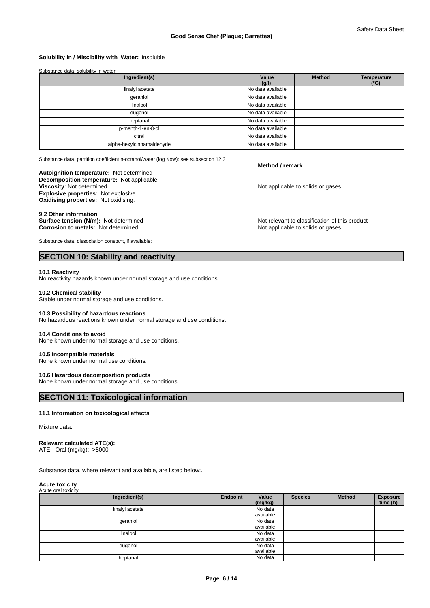### **Solubility in / Miscibility with Water:** Insoluble

| Substance data, solubility in water |                   |               |                                     |
|-------------------------------------|-------------------|---------------|-------------------------------------|
| Ingredient(s)                       | Value<br>(g/l)    | <b>Method</b> | <b>Temperature</b><br>$(^{\circ}C)$ |
| linalyl acetate                     | No data available |               |                                     |
| qeraniol                            | No data available |               |                                     |
| linalool                            | No data available |               |                                     |
| eugenol                             | No data available |               |                                     |
| heptanal                            | No data available |               |                                     |
| p-menth-1-en-8-ol                   | No data available |               |                                     |
| citral                              | No data available |               |                                     |
| alpha-hexylcinnamaldehyde           | No data available |               |                                     |

Substance data, partition coefficient n-octanol/water (log Kow): see subsection 12.3

# **Autoignition temperature:** Not determined

**Decomposition temperature:** Not applicable. **Explosive properties:** Not explosive. **Oxidising properties:** Not oxidising.

9.2 Other information<br>Surface tension (N/m): Not determined **Corrosion to metals: Not determined** 

Substance data, dissociation constant, if available:

# **SECTION 10: Stability and reactivity**

#### **10.1 Reactivity**

No reactivity hazards known under normal storage and use conditions.

#### **10.2 Chemical stability**

Stable under normal storage and use conditions.

#### **10.3 Possibility of hazardous reactions**

No hazardous reactions known under normal storage and use conditions.

#### **10.4 Conditions to avoid**

None known under normal storage and use conditions.

#### **10.5 Incompatible materials**

None known under normal use conditions.

## **10.6 Hazardous decomposition products**

None known under normal storage and use conditions.

# **SECTION 11: Toxicological information**

#### **11.1 Information on toxicological effects**

Mixture data:

#### **Relevant calculated ATE(s):**

ATE - Oral (mg/kg): >5000

Substance data, where relevant and available, are listed below:.

#### **Acute toxicity** Acute oral toxicity

| , loato oral toxiolty |          |                      |                |               |                             |
|-----------------------|----------|----------------------|----------------|---------------|-----------------------------|
| Ingredient(s)         | Endpoint | Value<br>(mg/kg)     | <b>Species</b> | <b>Method</b> | <b>Exposure</b><br>time (h) |
| linalyl acetate       |          | No data<br>available |                |               |                             |
| geraniol              |          | No data<br>available |                |               |                             |
| linalool              |          | No data<br>available |                |               |                             |
| eugenol               |          | No data<br>available |                |               |                             |
| heptanal              |          | No data              |                |               |                             |

#### **Method / remark**

Not applicable to solids or gases

Not relevant to classification of this product<br>Not applicable to solids or gases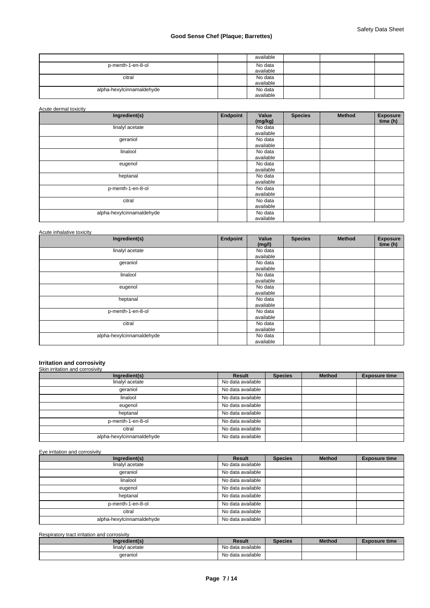|                           | available |  |  |
|---------------------------|-----------|--|--|
| p-menth-1-en-8-ol         | No data   |  |  |
|                           | available |  |  |
| citral                    | No data   |  |  |
|                           | available |  |  |
| alpha-hexylcinnamaldehyde | No data   |  |  |
|                           | available |  |  |

Acute dermal toxicity

| Ingredient(s)             | Endpoint | Value<br>(mg/kg) | <b>Species</b> | <b>Method</b> | <b>Exposure</b><br>time (h) |
|---------------------------|----------|------------------|----------------|---------------|-----------------------------|
| linalyl acetate           |          | No data          |                |               |                             |
|                           |          | available        |                |               |                             |
| geraniol                  |          | No data          |                |               |                             |
|                           |          | available        |                |               |                             |
| linalool                  |          | No data          |                |               |                             |
|                           |          | available        |                |               |                             |
| eugenol                   |          | No data          |                |               |                             |
|                           |          | available        |                |               |                             |
| heptanal                  |          | No data          |                |               |                             |
|                           |          | available        |                |               |                             |
| p-menth-1-en-8-ol         |          | No data          |                |               |                             |
|                           |          | available        |                |               |                             |
| citral                    |          | No data          |                |               |                             |
|                           |          | available        |                |               |                             |
| alpha-hexylcinnamaldehyde |          | No data          |                |               |                             |
|                           |          | available        |                |               |                             |

# Acute inhalative toxicity

| Ingredient(s)             | Endpoint | Value<br>(mg/l) | <b>Species</b> | <b>Method</b> | <b>Exposure</b><br>time (h) |
|---------------------------|----------|-----------------|----------------|---------------|-----------------------------|
| linalyl acetate           |          | No data         |                |               |                             |
|                           |          | available       |                |               |                             |
| geraniol                  |          | No data         |                |               |                             |
|                           |          | available       |                |               |                             |
| linalool                  |          | No data         |                |               |                             |
|                           |          | available       |                |               |                             |
| eugenol                   |          | No data         |                |               |                             |
|                           |          | available       |                |               |                             |
| heptanal                  |          | No data         |                |               |                             |
|                           |          | available       |                |               |                             |
| p-menth-1-en-8-ol         |          | No data         |                |               |                             |
|                           |          | available       |                |               |                             |
| citral                    |          | No data         |                |               |                             |
|                           |          | available       |                |               |                             |
| alpha-hexylcinnamaldehyde |          | No data         |                |               |                             |
|                           |          | available       |                |               |                             |

# **Irritation and corrosivity** Skin irritation and corrosivity

| Ingredient(s)             | Result            | <b>Species</b> | <b>Method</b> | <b>Exposure time</b> |
|---------------------------|-------------------|----------------|---------------|----------------------|
| linalyl acetate           | No data available |                |               |                      |
| qeraniol                  | No data available |                |               |                      |
| linalool                  | No data available |                |               |                      |
| eugenol                   | No data available |                |               |                      |
| heptanal                  | No data available |                |               |                      |
| p-menth-1-en-8-ol         | No data available |                |               |                      |
| citral                    | No data available |                |               |                      |
| alpha-hexylcinnamaldehyde | No data available |                |               |                      |

Eye irritation and corrosivity

| Ingredient(s)             | Result            | <b>Species</b> | <b>Method</b> | <b>Exposure time</b> |
|---------------------------|-------------------|----------------|---------------|----------------------|
| linalyl acetate           | No data available |                |               |                      |
| qeraniol                  | No data available |                |               |                      |
| linalool                  | No data available |                |               |                      |
| eugenol                   | No data available |                |               |                      |
| heptanal                  | No data available |                |               |                      |
| p-menth-1-en-8-ol         | No data available |                |               |                      |
| citral                    | No data available |                |               |                      |
| alpha-hexylcinnamaldehyde | No data available |                |               |                      |

| Respiratory tract irritation and corrosivity |                   |         |               |                      |
|----------------------------------------------|-------------------|---------|---------------|----------------------|
| Ingredient(s)                                | Result            | Species | <b>Method</b> | <b>Exposure time</b> |
| linalvl acetate                              | No data available |         |               |                      |
| aeraniol                                     | No data available |         |               |                      |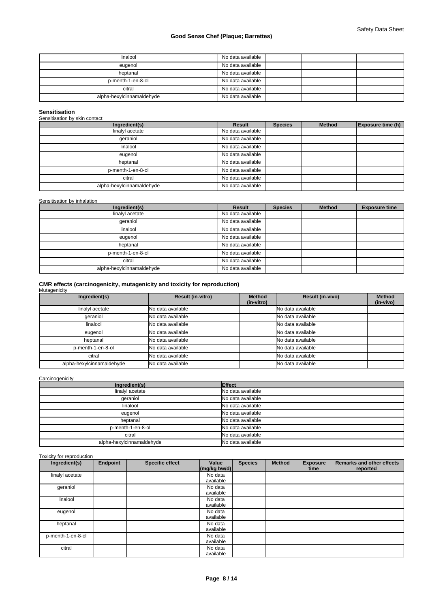| linalool                  | No data available |
|---------------------------|-------------------|
| eugenol                   | No data available |
| heptanal                  | No data available |
| p-menth-1-en-8-ol         | No data available |
| citral                    | No data available |
| alpha-hexylcinnamaldehyde | No data available |

**Sensitisation** Sensitisation by skin contact

| Ingredient(s)             | Result            | <b>Species</b> | <b>Method</b> | <b>Exposure time (h)</b> |
|---------------------------|-------------------|----------------|---------------|--------------------------|
| linalyl acetate           | No data available |                |               |                          |
| qeraniol                  | No data available |                |               |                          |
| linalool                  | No data available |                |               |                          |
| eugenol                   | No data available |                |               |                          |
| heptanal                  | No data available |                |               |                          |
| p-menth-1-en-8-ol         | No data available |                |               |                          |
| citral                    | No data available |                |               |                          |
| alpha-hexylcinnamaldehyde | No data available |                |               |                          |

### Sensitisation by inhalation

| Ingredient(s)             | Result            | <b>Species</b> | <b>Method</b> | <b>Exposure time</b> |
|---------------------------|-------------------|----------------|---------------|----------------------|
| linalyl acetate           | No data available |                |               |                      |
| qeraniol                  | No data available |                |               |                      |
| linalool                  | No data available |                |               |                      |
| eugenol                   | No data available |                |               |                      |
| heptanal                  | No data available |                |               |                      |
| p-menth-1-en-8-ol         | No data available |                |               |                      |
| citral                    | No data available |                |               |                      |
| alpha-hexylcinnamaldehyde | No data available |                |               |                      |

# **CMR effects (carcinogenicity, mutagenicity and toxicity for reproduction)** Mutagenicity

| Ingredient(s)             | <b>Result (in-vitro)</b>   | Method<br>(in-vitro) | Result (in-vivo)  | <b>Method</b><br>(in-vivo) |
|---------------------------|----------------------------|----------------------|-------------------|----------------------------|
| linalyl acetate           | No data available          |                      | No data available |                            |
| geraniol                  | No data available          |                      | No data available |                            |
| linalool                  | No data available          |                      | No data available |                            |
| eugenol                   | No data available          |                      | No data available |                            |
| heptanal                  | No data available          |                      | No data available |                            |
| p-menth-1-en-8-ol         | No data available          |                      | No data available |                            |
| citral                    | <b>I</b> No data available |                      | No data available |                            |
| alpha-hexylcinnamaldehyde | No data available          |                      | No data available |                            |

### Carcinogenicity

| Ingredient(s)             | <b>Effect</b>     |
|---------------------------|-------------------|
| linalyl acetate           | No data available |
| qeraniol                  | No data available |
| linalool                  | No data available |
| eugenol                   | No data available |
| heptanal                  | No data available |
| p-menth-1-en-8-ol         | No data available |
| citral                    | No data available |
| alpha-hexylcinnamaldehyde | No data available |

### Toxicity for reproduction

| Ingredient(s)     | Endpoint | <b>Specific effect</b> | Value<br>$\left \frac{\text{mg}}{\text{kg}}\text{bw/d}\right $ | <b>Species</b> | <b>Method</b> | <b>Exposure</b><br>time | <b>Remarks and other effects</b><br>reported |
|-------------------|----------|------------------------|----------------------------------------------------------------|----------------|---------------|-------------------------|----------------------------------------------|
| linalyl acetate   |          |                        | No data                                                        |                |               |                         |                                              |
|                   |          |                        | available                                                      |                |               |                         |                                              |
| geraniol          |          |                        | No data                                                        |                |               |                         |                                              |
|                   |          |                        | available                                                      |                |               |                         |                                              |
| linalool          |          |                        | No data                                                        |                |               |                         |                                              |
|                   |          |                        | available                                                      |                |               |                         |                                              |
| eugenol           |          |                        | No data                                                        |                |               |                         |                                              |
|                   |          |                        | available                                                      |                |               |                         |                                              |
| heptanal          |          |                        | No data                                                        |                |               |                         |                                              |
|                   |          |                        | available                                                      |                |               |                         |                                              |
| p-menth-1-en-8-ol |          |                        | No data                                                        |                |               |                         |                                              |
|                   |          |                        | available                                                      |                |               |                         |                                              |
| citral            |          |                        | No data                                                        |                |               |                         |                                              |
|                   |          |                        | available                                                      |                |               |                         |                                              |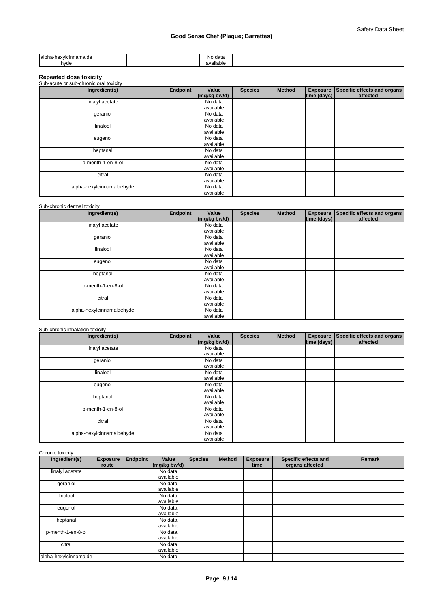| <b>Halph</b><br>hexvlcinnamalde |  | data<br>NO.<br>. |  |  |
|---------------------------------|--|------------------|--|--|
| hvde                            |  | ıilable<br>ava   |  |  |

# **Repeated dose toxicity**

| Sub-acute or sub-chronic oral toxicity |          |                       |                |               |             |                                                  |
|----------------------------------------|----------|-----------------------|----------------|---------------|-------------|--------------------------------------------------|
| Ingredient(s)                          | Endpoint | Value<br>(mg/kg bw/d) | <b>Species</b> | <b>Method</b> | time (days) | Exposure Specific effects and organs<br>affected |
| linalyl acetate                        |          | No data               |                |               |             |                                                  |
|                                        |          | available             |                |               |             |                                                  |
| geraniol                               |          | No data               |                |               |             |                                                  |
|                                        |          | available             |                |               |             |                                                  |
| linalool                               |          | No data               |                |               |             |                                                  |
|                                        |          | available             |                |               |             |                                                  |
| eugenol                                |          | No data               |                |               |             |                                                  |
|                                        |          | available             |                |               |             |                                                  |
| heptanal                               |          | No data               |                |               |             |                                                  |
|                                        |          | available             |                |               |             |                                                  |
| p-menth-1-en-8-ol                      |          | No data               |                |               |             |                                                  |
|                                        |          | available             |                |               |             |                                                  |
| citral                                 |          | No data               |                |               |             |                                                  |
|                                        |          | available             |                |               |             |                                                  |
| alpha-hexylcinnamaldehyde              |          | No data               |                |               |             |                                                  |
|                                        |          | available             |                |               |             |                                                  |

# Sub-chronic dermal toxicity

| Ingredient(s)             | Endpoint | Value<br>(mg/kg bw/d) | <b>Species</b> | <b>Method</b> | time (days) $ $ | Exposure Specific effects and organs<br>affected |
|---------------------------|----------|-----------------------|----------------|---------------|-----------------|--------------------------------------------------|
| linalyl acetate           |          | No data<br>available  |                |               |                 |                                                  |
| geraniol                  |          | No data<br>available  |                |               |                 |                                                  |
| linalool                  |          | No data<br>available  |                |               |                 |                                                  |
| eugenol                   |          | No data<br>available  |                |               |                 |                                                  |
| heptanal                  |          | No data<br>available  |                |               |                 |                                                  |
| p-menth-1-en-8-ol         |          | No data<br>available  |                |               |                 |                                                  |
| citral                    |          | No data<br>available  |                |               |                 |                                                  |
| alpha-hexylcinnamaldehyde |          | No data<br>available  |                |               |                 |                                                  |

# Sub-chronic inhalation toxicity

| Ingredient(s)             | <b>Endpoint</b> | Value<br>(mg/kg bw/d) | <b>Species</b> | <b>Method</b> | time (days) | Exposure   Specific effects and organs  <br>affected |
|---------------------------|-----------------|-----------------------|----------------|---------------|-------------|------------------------------------------------------|
| linalyl acetate           |                 | No data<br>available  |                |               |             |                                                      |
| geraniol                  |                 | No data<br>available  |                |               |             |                                                      |
| linalool                  |                 | No data<br>available  |                |               |             |                                                      |
| eugenol                   |                 | No data<br>available  |                |               |             |                                                      |
| heptanal                  |                 | No data<br>available  |                |               |             |                                                      |
| p-menth-1-en-8-ol         |                 | No data<br>available  |                |               |             |                                                      |
| citral                    |                 | No data<br>available  |                |               |             |                                                      |
| alpha-hexylcinnamaldehyde |                 | No data<br>available  |                |               |             |                                                      |

# Chronic toxicity

| Ingredient(s)         | <b>Exposure</b><br>route | <b>Endpoint</b> | Value<br>$(mg/kg)$ bw/d) | <b>Species</b> | <b>Method</b> | <b>Exposure</b><br>time | Specific effects and<br>organs affected | <b>Remark</b> |
|-----------------------|--------------------------|-----------------|--------------------------|----------------|---------------|-------------------------|-----------------------------------------|---------------|
| linalyl acetate       |                          |                 | No data<br>available     |                |               |                         |                                         |               |
| geraniol              |                          |                 | No data<br>available     |                |               |                         |                                         |               |
| linalool              |                          |                 | No data<br>available     |                |               |                         |                                         |               |
| eugenol               |                          |                 | No data<br>available     |                |               |                         |                                         |               |
| heptanal              |                          |                 | No data<br>available     |                |               |                         |                                         |               |
| p-menth-1-en-8-ol     |                          |                 | No data<br>available     |                |               |                         |                                         |               |
| citral                |                          |                 | No data<br>available     |                |               |                         |                                         |               |
| alpha-hexylcinnamalde |                          |                 | No data                  |                |               |                         |                                         |               |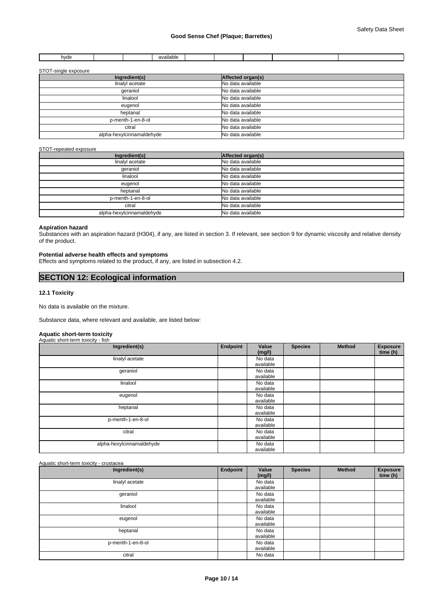| hvde |  | $\cdots$<br><b>Contract Contract</b><br>availahle<br>. סוטופי |  |  |  |
|------|--|---------------------------------------------------------------|--|--|--|

## STOT-single exposure

| Ingredient(s)             | Affected organ(s) |
|---------------------------|-------------------|
| linalyl acetate           | No data available |
| qeraniol                  | No data available |
| linalool                  | No data available |
| eugenol                   | No data available |
| heptanal                  | No data available |
| p-menth-1-en-8-ol         | No data available |
| citral                    | No data available |
| alpha-hexylcinnamaldehyde | No data available |

### STOT-repeated exposure

| Ingredient(s)             | Affected organ(s) |
|---------------------------|-------------------|
| linalyl acetate           | No data available |
| qeraniol                  | No data available |
| linalool                  | No data available |
| eugenol                   | No data available |
| heptanal                  | No data available |
| p-menth-1-en-8-ol         | No data available |
| citral                    | No data available |
| alpha-hexylcinnamaldehyde | No data available |

#### **Aspiration hazard**

Substances with an aspiration hazard (H304), if any, are listed in section 3. If relevant, see section 9 for dynamic viscosity and relative density of the product.

# **Potential adverse health effects and symptoms**

Effects and symptoms related to the product, if any, are listed in subsection 4.2.

# **SECTION 12: Ecological information**

# **12.1 Toxicity**

No data is available on the mixture.

Substance data, where relevant and available, are listed below:

#### **Aquatic short-term toxicity** Aquatic short-term toxicity - fish

| Ingredient(s)             | Endpoint | Value<br>(mg/l) | <b>Species</b> | <b>Method</b> | <b>Exposure</b><br>time (h) |
|---------------------------|----------|-----------------|----------------|---------------|-----------------------------|
| linalyl acetate           |          | No data         |                |               |                             |
|                           |          | available       |                |               |                             |
| geraniol                  |          | No data         |                |               |                             |
|                           |          | available       |                |               |                             |
| linalool                  |          | No data         |                |               |                             |
|                           |          | available       |                |               |                             |
| eugenol                   |          | No data         |                |               |                             |
|                           |          | available       |                |               |                             |
| heptanal                  |          | No data         |                |               |                             |
|                           |          | available       |                |               |                             |
| p-menth-1-en-8-ol         |          | No data         |                |               |                             |
|                           |          | available       |                |               |                             |
| citral                    |          | No data         |                |               |                             |
|                           |          | available       |                |               |                             |
| alpha-hexylcinnamaldehyde |          | No data         |                |               |                             |
|                           |          | available       |                |               |                             |

#### Aquatic short-term toxicity - crustacea

| Ingredient(s)     | Endpoint | Value<br>(mg/l) | <b>Species</b> | <b>Method</b> | <b>Exposure</b><br>time (h) |
|-------------------|----------|-----------------|----------------|---------------|-----------------------------|
| linalyl acetate   |          | No data         |                |               |                             |
|                   |          | available       |                |               |                             |
| geraniol          |          | No data         |                |               |                             |
|                   |          | available       |                |               |                             |
| linalool          |          | No data         |                |               |                             |
|                   |          | available       |                |               |                             |
| eugenol           |          | No data         |                |               |                             |
|                   |          | available       |                |               |                             |
| heptanal          |          | No data         |                |               |                             |
|                   |          | available       |                |               |                             |
| p-menth-1-en-8-ol |          | No data         |                |               |                             |
|                   |          | available       |                |               |                             |
| citral            |          | No data         |                |               |                             |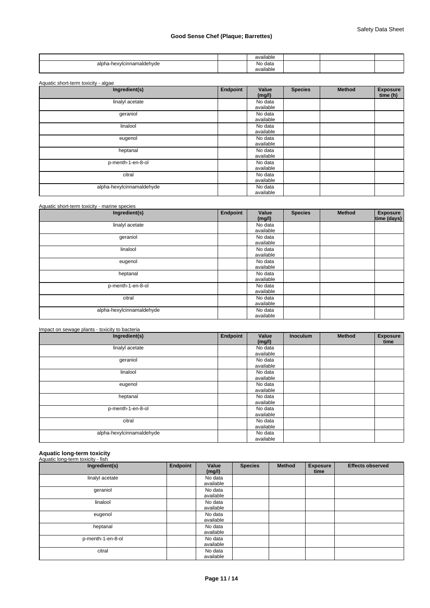|                                                         | available    |  |  |
|---------------------------------------------------------|--------------|--|--|
| hexvlcinnamaldehvde<br>alpi<br>$-$<br>.<br>__<br>$\sim$ | No data<br>. |  |  |
|                                                         | available    |  |  |

| Ingredient(s)             | Endpoint | Value<br>(mg/l)      | <b>Species</b> | <b>Method</b> | <b>Exposure</b><br>time (h) |
|---------------------------|----------|----------------------|----------------|---------------|-----------------------------|
| linalyl acetate           |          | No data<br>available |                |               |                             |
| geraniol                  |          | No data<br>available |                |               |                             |
| linalool                  |          | No data<br>available |                |               |                             |
| eugenol                   |          | No data<br>available |                |               |                             |
| heptanal                  |          | No data<br>available |                |               |                             |
| p-menth-1-en-8-ol         |          | No data<br>available |                |               |                             |
| citral                    |          | No data<br>available |                |               |                             |
| alpha-hexylcinnamaldehyde |          | No data<br>available |                |               |                             |

| Aquatic short-term toxicity - marine species |          |                      |                |        |                                |
|----------------------------------------------|----------|----------------------|----------------|--------|--------------------------------|
| Ingredient(s)                                | Endpoint | Value<br>(mg/l)      | <b>Species</b> | Method | <b>Exposure</b><br>time (days) |
| linalyl acetate                              |          | No data<br>available |                |        |                                |
| geraniol                                     |          | No data<br>available |                |        |                                |
| linalool                                     |          | No data<br>available |                |        |                                |
| eugenol                                      |          | No data<br>available |                |        |                                |
| heptanal                                     |          | No data<br>available |                |        |                                |
| p-menth-1-en-8-ol                            |          | No data<br>available |                |        |                                |
| citral                                       |          | No data<br>available |                |        |                                |
| alpha-hexylcinnamaldehyde                    |          | No data<br>available |                |        |                                |

| Impact on sewage plants - toxicity to bacteria |          |                      |                 |        |                         |
|------------------------------------------------|----------|----------------------|-----------------|--------|-------------------------|
| Ingredient(s)                                  | Endpoint | Value<br>(mg/l)      | <b>Inoculum</b> | Method | <b>Exposure</b><br>time |
| linalyl acetate                                |          | No data<br>available |                 |        |                         |
| geraniol                                       |          | No data<br>available |                 |        |                         |
| linalool                                       |          | No data<br>available |                 |        |                         |
| eugenol                                        |          | No data<br>available |                 |        |                         |
| heptanal                                       |          | No data<br>available |                 |        |                         |
| p-menth-1-en-8-ol                              |          | No data<br>available |                 |        |                         |
| citral                                         |          | No data<br>available |                 |        |                         |
| alpha-hexylcinnamaldehyde                      |          | No data<br>available |                 |        |                         |

# **Aquatic long-term toxicity** Aquatic long-term toxicity - fish

| Ingredient(s)     | Endpoint | Value<br>(mg/l)      | <b>Species</b> | <b>Method</b> | <b>Exposure</b><br>time | <b>Effects observed</b> |
|-------------------|----------|----------------------|----------------|---------------|-------------------------|-------------------------|
| linalyl acetate   |          | No data<br>available |                |               |                         |                         |
| geraniol          |          | No data              |                |               |                         |                         |
| linalool          |          | available<br>No data |                |               |                         |                         |
| eugenol           |          | available<br>No data |                |               |                         |                         |
|                   |          | available            |                |               |                         |                         |
| heptanal          |          | No data<br>available |                |               |                         |                         |
| p-menth-1-en-8-ol |          | No data<br>available |                |               |                         |                         |
| citral            |          | No data<br>available |                |               |                         |                         |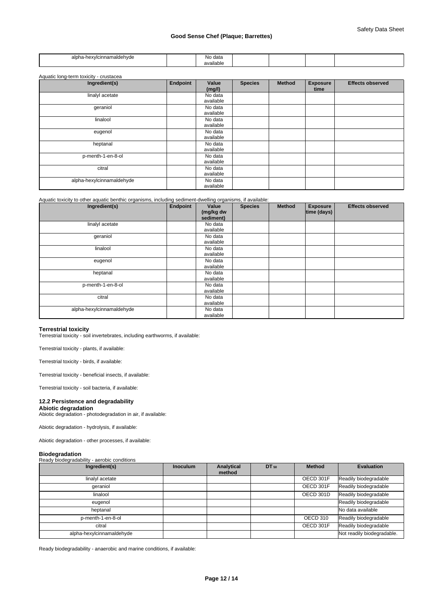| ాmaldehvde<br>alon<br>nr.<br>۰ سانت<br>$ -$<br>.<br>__ | ≅data<br>wv.<br>.         |  |  |
|--------------------------------------------------------|---------------------------|--|--|
|                                                        | .<br>$\sim$<br>'able<br>. |  |  |

| Aquatic long-term toxicity - crustacea |          |                      |                |               |                         |                         |
|----------------------------------------|----------|----------------------|----------------|---------------|-------------------------|-------------------------|
| Ingredient(s)                          | Endpoint | Value<br>(mg/l)      | <b>Species</b> | <b>Method</b> | <b>Exposure</b><br>time | <b>Effects observed</b> |
| linalyl acetate                        |          | No data<br>available |                |               |                         |                         |
| geraniol                               |          | No data<br>available |                |               |                         |                         |
| linalool                               |          | No data<br>available |                |               |                         |                         |
| eugenol                                |          | No data<br>available |                |               |                         |                         |
| heptanal                               |          | No data<br>available |                |               |                         |                         |
| p-menth-1-en-8-ol                      |          | No data<br>available |                |               |                         |                         |
| citral                                 |          | No data<br>available |                |               |                         |                         |
| alpha-hexylcinnamaldehyde              |          | No data<br>available |                |               |                         |                         |

Aquatic toxicity to other aquatic benthic organisms, including sediment-dwelling organisms, if available:

| Ingredient(s)             | Endpoint | Value<br>(mg/kg dw<br>sediment) | <b>Species</b> | <b>Method</b> | <b>Exposure</b><br>time (days) | <b>Effects observed</b> |
|---------------------------|----------|---------------------------------|----------------|---------------|--------------------------------|-------------------------|
| linalyl acetate           |          | No data<br>available            |                |               |                                |                         |
| geraniol                  |          | No data<br>available            |                |               |                                |                         |
| linalool                  |          | No data<br>available            |                |               |                                |                         |
| eugenol                   |          | No data<br>available            |                |               |                                |                         |
| heptanal                  |          | No data<br>available            |                |               |                                |                         |
| p-menth-1-en-8-ol         |          | No data<br>available            |                |               |                                |                         |
| citral                    |          | No data<br>available            |                |               |                                |                         |
| alpha-hexylcinnamaldehyde |          | No data<br>available            |                |               |                                |                         |

# **Terrestrial toxicity**

Terrestrial toxicity - soil invertebrates, including earthworms, if available:

Terrestrial toxicity - plants, if available:

Terrestrial toxicity - birds, if available:

Terrestrial toxicity - beneficial insects, if available:

Terrestrial toxicity - soil bacteria, if available:

# **12.2 Persistence and degradability**

## **Abiotic degradation**

Abiotic degradation - photodegradation in air, if available:

Abiotic degradation - hydrolysis, if available:

Abiotic degradation - other processes, if available:

**Biodegradation** Ready biodegradability - aerobic conditions

| Ingredient(s)             | <b>Inoculum</b> | Analytical<br>method | DT 50 | <b>Method</b> | <b>Evaluation</b>          |
|---------------------------|-----------------|----------------------|-------|---------------|----------------------------|
| linalyl acetate           |                 |                      |       | OECD 301F     | Readily biodegradable      |
| qeraniol                  |                 |                      |       | OECD 301F     | Readily biodegradable      |
| linalool                  |                 |                      |       | OECD 301D     | Readily biodegradable      |
| eugenol                   |                 |                      |       |               | Readily biodegradable      |
| heptanal                  |                 |                      |       |               | No data available          |
| p-menth-1-en-8-ol         |                 |                      |       | OECD 310      | Readily biodegradable      |
| citral                    |                 |                      |       | OECD 301F     | Readily biodegradable      |
| alpha-hexylcinnamaldehyde |                 |                      |       |               | Not readily biodegradable. |

Ready biodegradability - anaerobic and marine conditions, if available: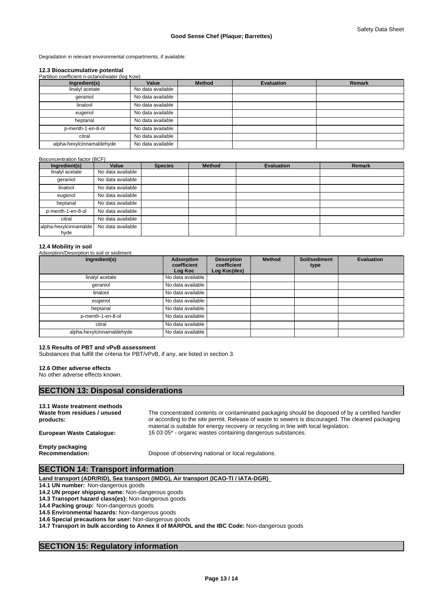Degradation in relevant environmental compartments, if available:

### **12.3 Bioaccumulative potential**

| Partition coefficient n-octanol/water (log Kow) |                   |               |                   |               |  |  |  |  |  |  |
|-------------------------------------------------|-------------------|---------------|-------------------|---------------|--|--|--|--|--|--|
| Ingredient(s)                                   | Value             | <b>Method</b> | <b>Evaluation</b> | <b>Remark</b> |  |  |  |  |  |  |
| linalyl acetate                                 | No data available |               |                   |               |  |  |  |  |  |  |
| geraniol                                        | No data available |               |                   |               |  |  |  |  |  |  |
| linalool                                        | No data available |               |                   |               |  |  |  |  |  |  |
| eugenol                                         | No data available |               |                   |               |  |  |  |  |  |  |
| heptanal                                        | No data available |               |                   |               |  |  |  |  |  |  |
| p-menth-1-en-8-ol                               | No data available |               |                   |               |  |  |  |  |  |  |
| citral                                          | No data available |               |                   |               |  |  |  |  |  |  |
| alpha-hexylcinnamaldehyde                       | No data available |               |                   |               |  |  |  |  |  |  |

#### Bioconcentration factor (BCF)

| Ingredient(s)                 | Value             | <b>Species</b> | <b>Method</b> | <b>Evaluation</b> | <b>Remark</b> |
|-------------------------------|-------------------|----------------|---------------|-------------------|---------------|
| linalyl acetate               | No data available |                |               |                   |               |
| qeraniol                      | No data available |                |               |                   |               |
| linalool                      | No data available |                |               |                   |               |
| eugenol                       | No data available |                |               |                   |               |
| heptanal                      | No data available |                |               |                   |               |
| p-menth-1-en-8-ol             | No data available |                |               |                   |               |
| citral                        | No data available |                |               |                   |               |
| alpha-hexylcinnamalde<br>hyde | No data available |                |               |                   |               |

#### **12.4 Mobility in soil** Adsorption/Desorption to soil or sediment

| Ingredient(s)             | Adsorption<br>coefficient<br>Log Koc | <b>Desorption</b><br>coefficient<br>Log Koc(des) | <b>Method</b> | Soil/sediment<br>type | <b>Evaluation</b> |
|---------------------------|--------------------------------------|--------------------------------------------------|---------------|-----------------------|-------------------|
| linalyl acetate           | No data available                    |                                                  |               |                       |                   |
| qeraniol                  | No data available                    |                                                  |               |                       |                   |
| linalool                  | No data available                    |                                                  |               |                       |                   |
| eugenol                   | No data available                    |                                                  |               |                       |                   |
| heptanal                  | No data available                    |                                                  |               |                       |                   |
| p-menth-1-en-8-ol         | No data available                    |                                                  |               |                       |                   |
| citral                    | No data available                    |                                                  |               |                       |                   |
| alpha-hexylcinnamaldehyde | No data available                    |                                                  |               |                       |                   |

#### **12.5 Results of PBT and vPvB assessment**

Substances that fulfill the criteria for PBT/vPvB, if any, are listed in section 3.

#### **12.6 Other adverse effects**

No other adverse effects known.

# **SECTION 13: Disposal considerations**

**13.1 Waste treatment methods Waste from residues / unused products:**

The concentrated contents or contaminated packaging should be disposed of by a certified handler or according to the site permit. Release of waste to sewers is discouraged. The cleaned packaging material is suitable for energy recovery or recycling in line with local legislation. **European Waste Catalogue:** 16 03 05\* - organic wastes containing dangerous substances.

**Empty packaging**

**Recommendation:** Dispose of observing national or local regulations.

# **SECTION 14: Transport information**

**Land transport (ADR/RID), Sea transport (IMDG), Air transport (ICAO-TI / IATA-DGR)** 

**14.1 UN number:** Non-dangerous goods

**14.2 UN proper shipping name:** Non-dangerous goods

**14.3 Transport hazard class(es):** Non-dangerous goods

**14.4 Packing group:** Non-dangerous goods

**14.5 Environmental hazards:** Non-dangerous goods

**14.6 Special precautions for user:** Non-dangerous goods

**14.7 Transport in bulk according to Annex II of MARPOL and the IBC Code:** Non-dangerous goods

# **SECTION 15: Regulatory information**